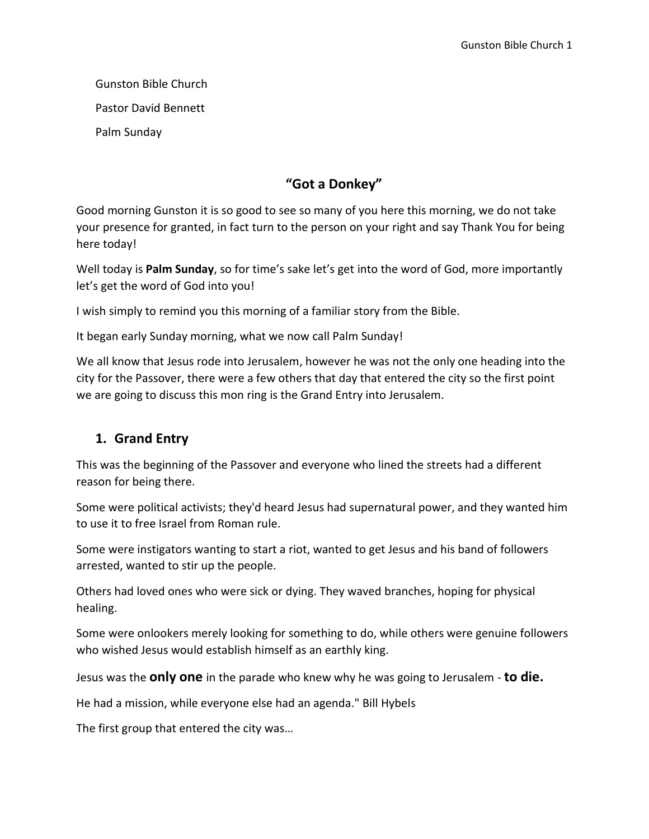Gunston Bible Church Pastor David Bennett Palm Sunday

## **"Got a Donkey"**

Good morning Gunston it is so good to see so many of you here this morning, we do not take your presence for granted, in fact turn to the person on your right and say Thank You for being here today!

Well today is **Palm Sunday**, so for time's sake let's get into the word of God, more importantly let's get the word of God into you!

I wish simply to remind you this morning of a familiar story from the Bible.

It began early Sunday morning, what we now call Palm Sunday!

We all know that Jesus rode into Jerusalem, however he was not the only one heading into the city for the Passover, there were a few others that day that entered the city so the first point we are going to discuss this mon ring is the Grand Entry into Jerusalem.

### **1. Grand Entry**

This was the beginning of the Passover and everyone who lined the streets had a different reason for being there.

Some were political activists; they'd heard Jesus had supernatural power, and they wanted him to use it to free Israel from Roman rule.

Some were instigators wanting to start a riot, wanted to get Jesus and his band of followers arrested, wanted to stir up the people.

Others had loved ones who were sick or dying. They waved branches, hoping for physical healing.

Some were onlookers merely looking for something to do, while others were genuine followers who wished Jesus would establish himself as an earthly king.

Jesus was the **only one** in the parade who knew why he was going to Jerusalem - **to die.**

He had a mission, while everyone else had an agenda." Bill Hybels

The first group that entered the city was…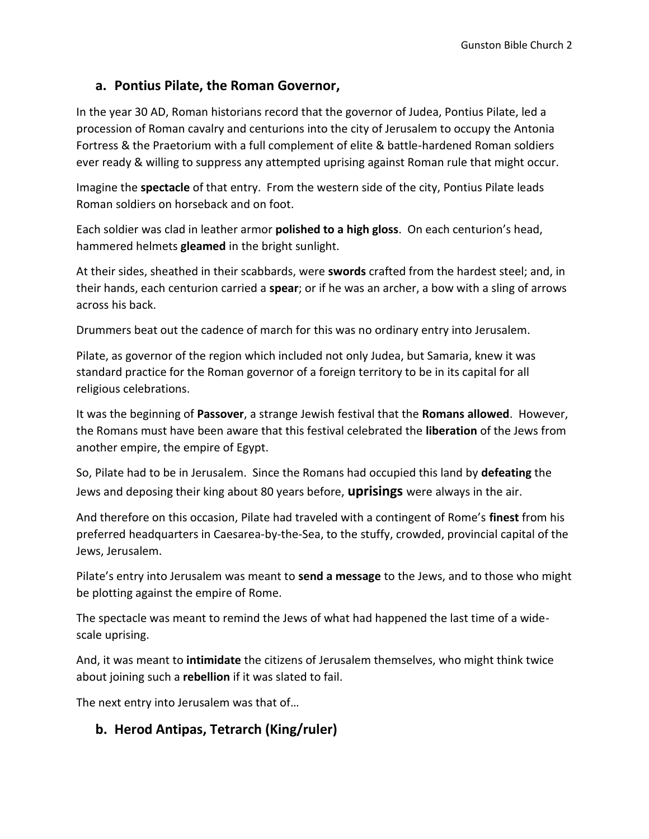## **a. Pontius Pilate, the Roman Governor,**

In the year 30 AD, Roman historians record that the governor of Judea, Pontius Pilate, led a procession of Roman cavalry and centurions into the city of Jerusalem to occupy the Antonia Fortress & the Praetorium with a full complement of elite & battle-hardened Roman soldiers ever ready & willing to suppress any attempted uprising against Roman rule that might occur.

Imagine the **spectacle** of that entry. From the western side of the city, Pontius Pilate leads Roman soldiers on horseback and on foot.

Each soldier was clad in leather armor **polished to a high gloss**. On each centurion's head, hammered helmets **gleamed** in the bright sunlight.

At their sides, sheathed in their scabbards, were **swords** crafted from the hardest steel; and, in their hands, each centurion carried a **spear**; or if he was an archer, a bow with a sling of arrows across his back.

Drummers beat out the cadence of march for this was no ordinary entry into Jerusalem.

Pilate, as governor of the region which included not only Judea, but Samaria, knew it was standard practice for the Roman governor of a foreign territory to be in its capital for all religious celebrations.

It was the beginning of **Passover**, a strange Jewish festival that the **Romans allowed**. However, the Romans must have been aware that this festival celebrated the **liberation** of the Jews from another empire, the empire of Egypt.

So, Pilate had to be in Jerusalem. Since the Romans had occupied this land by **defeating** the Jews and deposing their king about 80 years before, **uprisings** were always in the air.

And therefore on this occasion, Pilate had traveled with a contingent of Rome's **finest** from his preferred headquarters in Caesarea-by-the-Sea, to the stuffy, crowded, provincial capital of the Jews, Jerusalem.

Pilate's entry into Jerusalem was meant to **send a message** to the Jews, and to those who might be plotting against the empire of Rome.

The spectacle was meant to remind the Jews of what had happened the last time of a widescale uprising.

And, it was meant to **intimidate** the citizens of Jerusalem themselves, who might think twice about joining such a **rebellion** if it was slated to fail.

The next entry into Jerusalem was that of…

## **b. Herod Antipas, Tetrarch (King/ruler)**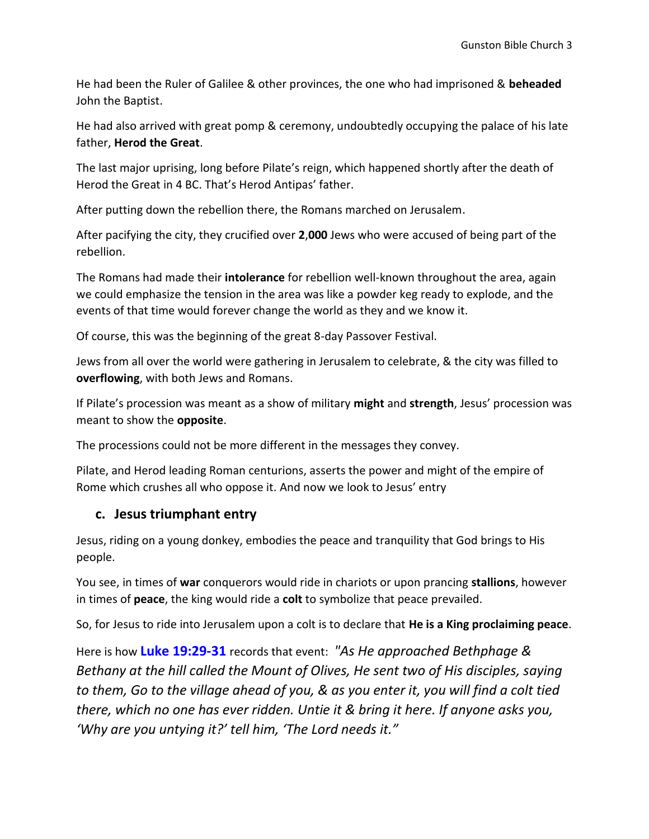He had been the Ruler of Galilee & other provinces, the one who had imprisoned & **beheaded** John the Baptist.

He had also arrived with great pomp & ceremony, undoubtedly occupying the palace of his late father, **Herod the Great**.

The last major uprising, long before Pilate's reign, which happened shortly after the death of Herod the Great in 4 BC. That's Herod Antipas' father.

After putting down the rebellion there, the Romans marched on Jerusalem.

After pacifying the city, they crucified over **2**,**000** Jews who were accused of being part of the rebellion.

The Romans had made their **intolerance** for rebellion well-known throughout the area, again we could emphasize the tension in the area was like a powder keg ready to explode, and the events of that time would forever change the world as they and we know it.

Of course, this was the beginning of the great 8-day Passover Festival.

Jews from all over the world were gathering in Jerusalem to celebrate, & the city was filled to **overflowing**, with both Jews and Romans.

If Pilate's procession was meant as a show of military **might** and **strength**, Jesus' procession was meant to show the **opposite**.

The processions could not be more different in the messages they convey.

Pilate, and Herod leading Roman centurions, asserts the power and might of the empire of Rome which crushes all who oppose it. And now we look to Jesus' entry

#### **c. Jesus triumphant entry**

Jesus, riding on a young donkey, embodies the peace and tranquility that God brings to His people.

You see, in times of **war** conquerors would ride in chariots or upon prancing **stallions**, however in times of **peace**, the king would ride a **colt** to symbolize that peace prevailed.

So, for Jesus to ride into Jerusalem upon a colt is to declare that **He is a King proclaiming peace**.

Here is how **Luke 19:29-31** records that event: *"As He approached Bethphage & Bethany at the hill called the Mount of Olives, He sent two of His disciples, saying to them, Go to the village ahead of you, & as you enter it, you will find a colt tied there, which no one has ever ridden. Untie it & bring it here. If anyone asks you, 'Why are you untying it?' tell him, 'The Lord needs it."*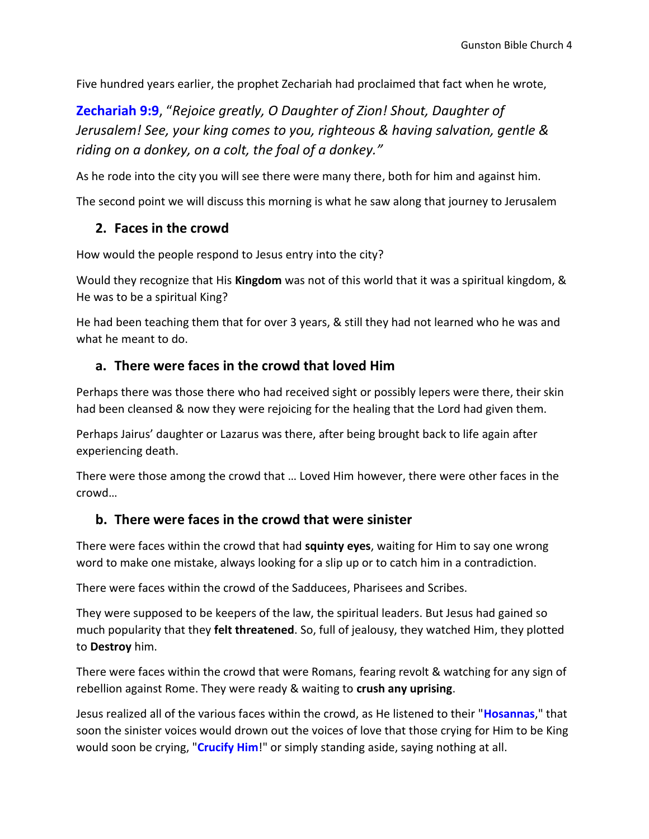Five hundred years earlier, the prophet Zechariah had proclaimed that fact when he wrote,

**Zechariah 9:9**, "*Rejoice greatly, O Daughter of Zion! Shout, Daughter of Jerusalem! See, your king comes to you, righteous & having salvation, gentle & riding on a donkey, on a colt, the foal of a donkey."* 

As he rode into the city you will see there were many there, both for him and against him.

The second point we will discuss this morning is what he saw along that journey to Jerusalem

#### **2. Faces in the crowd**

How would the people respond to Jesus entry into the city?

Would they recognize that His **Kingdom** was not of this world that it was a spiritual kingdom, & He was to be a spiritual King?

He had been teaching them that for over 3 years, & still they had not learned who he was and what he meant to do.

#### **a. There were faces in the crowd that loved Him**

Perhaps there was those there who had received sight or possibly lepers were there, their skin had been cleansed & now they were rejoicing for the healing that the Lord had given them.

Perhaps Jairus' daughter or Lazarus was there, after being brought back to life again after experiencing death.

There were those among the crowd that … Loved Him however, there were other faces in the crowd…

#### **b. There were faces in the crowd that were sinister**

There were faces within the crowd that had **squinty eyes**, waiting for Him to say one wrong word to make one mistake, always looking for a slip up or to catch him in a contradiction.

There were faces within the crowd of the Sadducees, Pharisees and Scribes.

They were supposed to be keepers of the law, the spiritual leaders. But Jesus had gained so much popularity that they **felt threatened**. So, full of jealousy, they watched Him, they plotted to **Destroy** him.

There were faces within the crowd that were Romans, fearing revolt & watching for any sign of rebellion against Rome. They were ready & waiting to **crush any uprising**.

Jesus realized all of the various faces within the crowd, as He listened to their "**Hosannas**," that soon the sinister voices would drown out the voices of love that those crying for Him to be King would soon be crying, "**Crucify Him**!" or simply standing aside, saying nothing at all.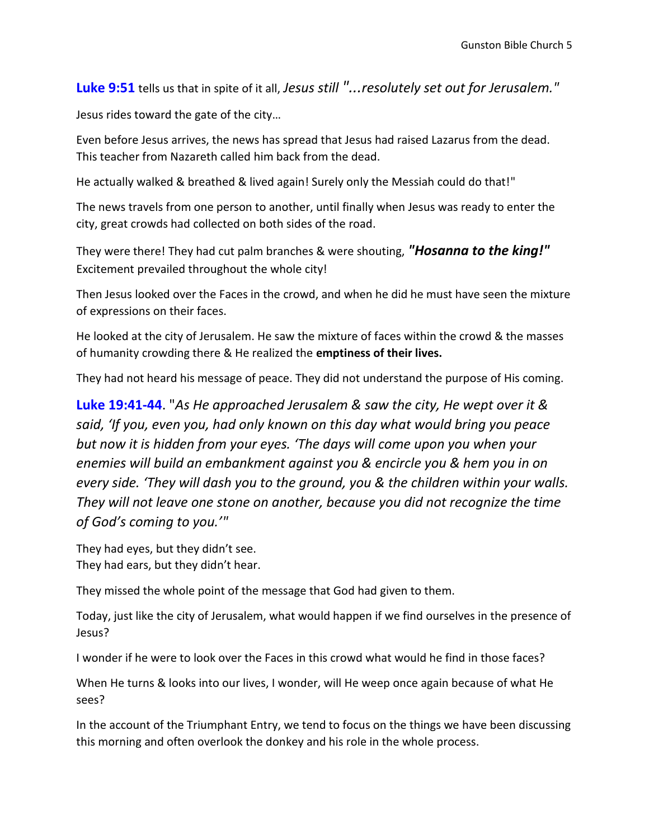**Luke 9:51** tells us that in spite of it all, *Jesus still "...resolutely set out for Jerusalem."*

Jesus rides toward the gate of the city…

Even before Jesus arrives, the news has spread that Jesus had raised Lazarus from the dead. This teacher from Nazareth called him back from the dead.

He actually walked & breathed & lived again! Surely only the Messiah could do that!"

The news travels from one person to another, until finally when Jesus was ready to enter the city, great crowds had collected on both sides of the road.

They were there! They had cut palm branches & were shouting, *"Hosanna to the king!"* Excitement prevailed throughout the whole city!

Then Jesus looked over the Faces in the crowd, and when he did he must have seen the mixture of expressions on their faces.

He looked at the city of Jerusalem. He saw the mixture of faces within the crowd & the masses of humanity crowding there & He realized the **emptiness of their lives.**

They had not heard his message of peace. They did not understand the purpose of His coming.

**Luke 19:41-44**. "*As He approached Jerusalem & saw the city, He wept over it & said, 'If you, even you, had only known on this day what would bring you peace but now it is hidden from your eyes. 'The days will come upon you when your enemies will build an embankment against you & encircle you & hem you in on every side. 'They will dash you to the ground, you & the children within your walls. They will not leave one stone on another, because you did not recognize the time of God's coming to you.'"* 

They had eyes, but they didn't see. They had ears, but they didn't hear.

They missed the whole point of the message that God had given to them.

Today, just like the city of Jerusalem, what would happen if we find ourselves in the presence of Jesus?

I wonder if he were to look over the Faces in this crowd what would he find in those faces?

When He turns & looks into our lives, I wonder, will He weep once again because of what He sees?

In the account of the Triumphant Entry, we tend to focus on the things we have been discussing this morning and often overlook the donkey and his role in the whole process.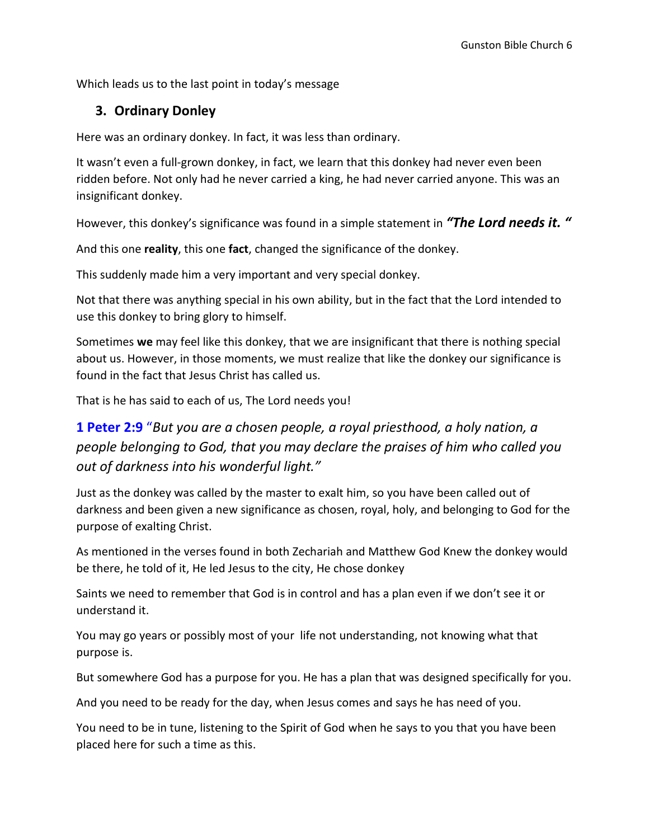Which leads us to the last point in today's message

### **3. Ordinary Donley**

Here was an ordinary donkey. In fact, it was less than ordinary.

It wasn't even a full-grown donkey, in fact, we learn that this donkey had never even been ridden before. Not only had he never carried a king, he had never carried anyone. This was an insignificant donkey.

However, this donkey's significance was found in a simple statement in *"The Lord needs it. "*

And this one **reality**, this one **fact**, changed the significance of the donkey.

This suddenly made him a very important and very special donkey.

Not that there was anything special in his own ability, but in the fact that the Lord intended to use this donkey to bring glory to himself.

Sometimes **we** may feel like this donkey, that we are insignificant that there is nothing special about us. However, in those moments, we must realize that like the donkey our significance is found in the fact that Jesus Christ has called us.

That is he has said to each of us, The Lord needs you!

# **1 Peter 2:9** "*But you are a chosen people, a royal priesthood, a holy nation, a people belonging to God, that you may declare the praises of him who called you out of darkness into his wonderful light."*

Just as the donkey was called by the master to exalt him, so you have been called out of darkness and been given a new significance as chosen, royal, holy, and belonging to God for the purpose of exalting Christ.

As mentioned in the verses found in both Zechariah and Matthew God Knew the donkey would be there, he told of it, He led Jesus to the city, He chose donkey

Saints we need to remember that God is in control and has a plan even if we don't see it or understand it.

You may go years or possibly most of your life not understanding, not knowing what that purpose is.

But somewhere God has a purpose for you. He has a plan that was designed specifically for you.

And you need to be ready for the day, when Jesus comes and says he has need of you.

You need to be in tune, listening to the Spirit of God when he says to you that you have been placed here for such a time as this.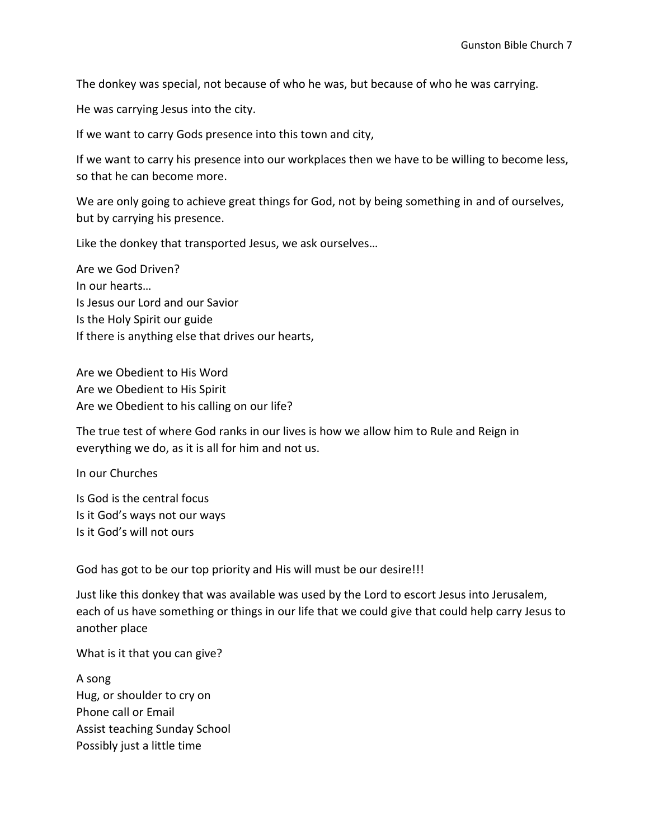The donkey was special, not because of who he was, but because of who he was carrying.

He was carrying Jesus into the city.

If we want to carry Gods presence into this town and city,

If we want to carry his presence into our workplaces then we have to be willing to become less, so that he can become more.

We are only going to achieve great things for God, not by being something in and of ourselves, but by carrying his presence.

Like the donkey that transported Jesus, we ask ourselves…

Are we God Driven? In our hearts… Is Jesus our Lord and our Savior Is the Holy Spirit our guide If there is anything else that drives our hearts,

Are we Obedient to His Word Are we Obedient to His Spirit Are we Obedient to his calling on our life?

The true test of where God ranks in our lives is how we allow him to Rule and Reign in everything we do, as it is all for him and not us.

In our Churches

Is God is the central focus Is it God's ways not our ways Is it God's will not ours

God has got to be our top priority and His will must be our desire!!!

Just like this donkey that was available was used by the Lord to escort Jesus into Jerusalem, each of us have something or things in our life that we could give that could help carry Jesus to another place

What is it that you can give?

A song Hug, or shoulder to cry on Phone call or Email Assist teaching Sunday School Possibly just a little time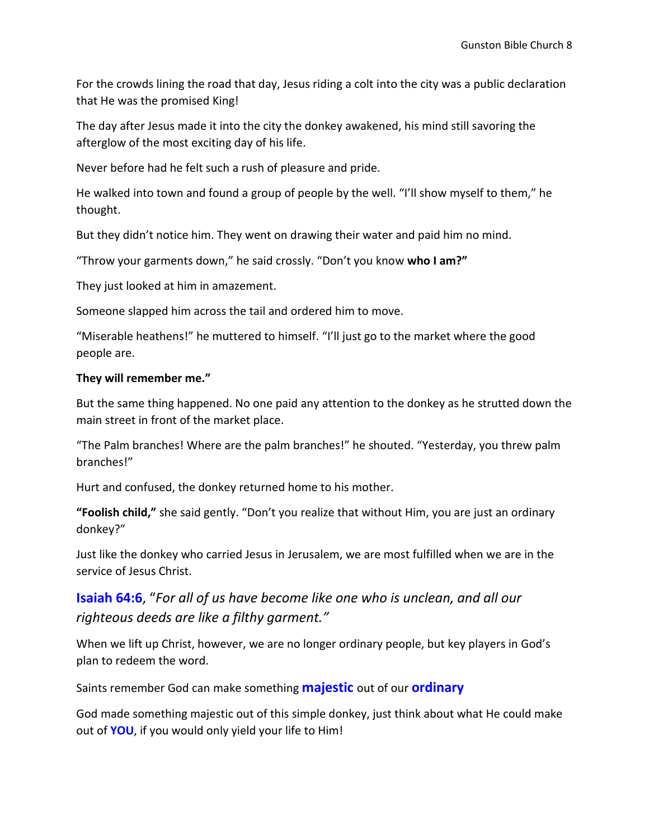For the crowds lining the road that day, Jesus riding a colt into the city was a public declaration that He was the promised King!

The day after Jesus made it into the city the donkey awakened, his mind still savoring the afterglow of the most exciting day of his life.

Never before had he felt such a rush of pleasure and pride.

He walked into town and found a group of people by the well. "I'll show myself to them," he thought.

But they didn't notice him. They went on drawing their water and paid him no mind.

"Throw your garments down," he said crossly. "Don't you know **who I am?"**

They just looked at him in amazement.

Someone slapped him across the tail and ordered him to move.

"Miserable heathens!" he muttered to himself. "I'll just go to the market where the good people are.

#### **They will remember me."**

But the same thing happened. No one paid any attention to the donkey as he strutted down the main street in front of the market place.

"The Palm branches! Where are the palm branches!" he shouted. "Yesterday, you threw palm branches!"

Hurt and confused, the donkey returned home to his mother.

**"Foolish child,"** she said gently. "Don't you realize that without Him, you are just an ordinary donkey?"

Just like the donkey who carried Jesus in Jerusalem, we are most fulfilled when we are in the service of Jesus Christ.

## **Isaiah 64:6**, "*For all of us have become like one who is unclean, and all our righteous deeds are like a filthy garment."*

When we lift up Christ, however, we are no longer ordinary people, but key players in God's plan to redeem the word.

Saints remember God can make something **majestic** out of our **ordinary**

God made something majestic out of this simple donkey, just think about what He could make out of **YOU**, if you would only yield your life to Him!